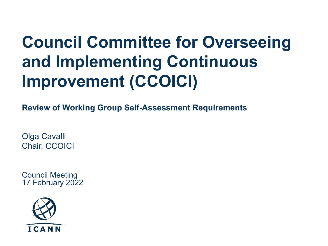# **Council Committee for Overseeing and Implementing Continuous Improvement (CCOICI)**

**Review of Working Group Self-Assessment Requirements**

Olga Cavalli Chair, CCOICI

Council Meeting 17 February 2022

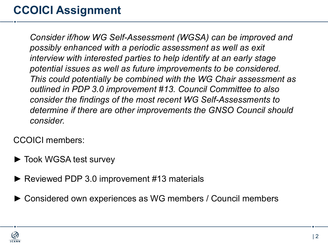## **CCOICI Assignment**

*Consider if/how WG Self-Assessment (WGSA) can be improved and possibly enhanced with a periodic assessment as well as exit interview with interested parties to help identify at an early stage potential issues as well as future improvements to be considered. This could potentially be combined with the WG Chair assessment as outlined in PDP 3.0 improvement #13. Council Committee to also consider the findings of the most recent WG Self-Assessments to determine if there are other improvements the GNSO Council should consider.*

CCOICI members:

- ► Took WGSA test survey
- ► Reviewed PDP 3.0 improvement #13 materials
- ► Considered own experiences as WG members / Council members

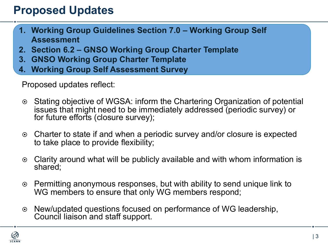#### **Proposed Updates**

- **1. Working Group Guidelines Section 7.0 – Working Group Self Assessment**
- **2. Section 6.2 – GNSO Working Group Charter Template**
- **3. GNSO Working Group Charter Template**
- **4. Working Group Self Assessment Survey**

Proposed updates reflect:

- **■** Stating objective of WGSA: inform the Chartering Organization of potential issues that might need to be immediately addressed (periodic survey) or for future efforts (closure survey);
- ¤ Charter to state if and when a periodic survey and/or closure is expected to take place to provide flexibility;
- $\odot$  Clarity around what will be publicly available and with whom information is shared;
- $\odot$  Permitting anonymous responses, but with ability to send unique link to WG members to ensure that only WG members respond;
- $\odot$  New/updated questions focused on performance of WG leadership, Council liaison and staff support.

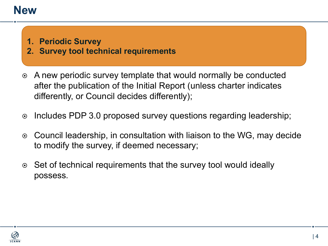#### **New**

- **1. Periodic Survey**
- **2. Survey tool technical requirements**
- **A new periodic survey template that would normally be conducted** after the publication of the Initial Report (unless charter indicates differently, or Council decides differently);
- $\circ$  Includes PDP 3.0 proposed survey questions regarding leadership;
- $\odot$  Council leadership, in consultation with liaison to the WG, may decide to modify the survey, if deemed necessary;
- ◎ Set of technical requirements that the survey tool would ideally possess.

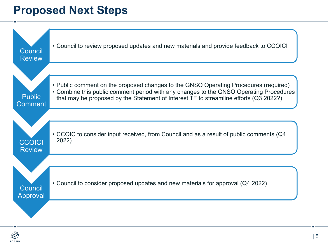#### **Proposed Next Steps**